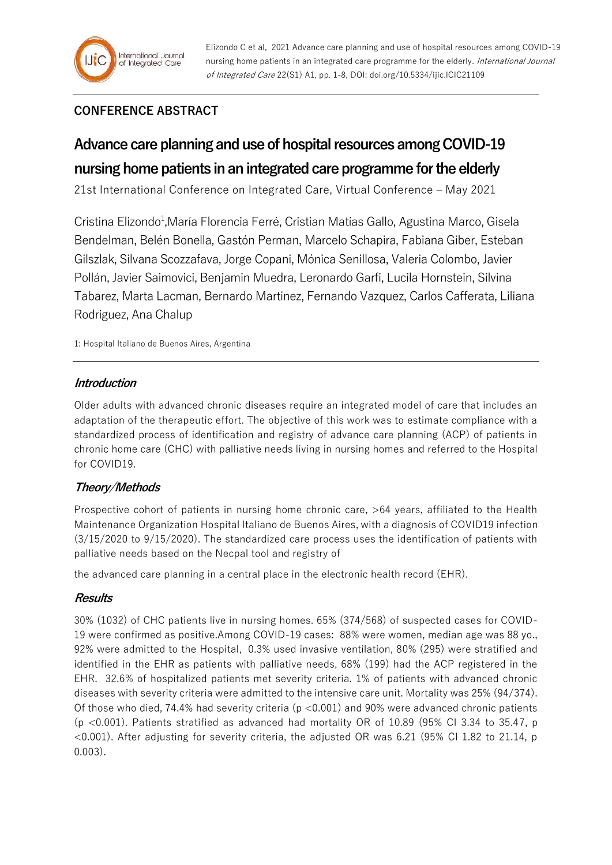# **CONFERENCE ABSTRACT**

# **Advance care planning and use of hospital resources among COVID-19 nursing home patients in an integrated care programme for the elderly**

21st International Conference on Integrated Care, Virtual Conference – May 2021

Cristina Elizondo<sup>1</sup>, María Florencia Ferré, Cristian Matías Gallo, Agustina Marco, Gisela Bendelman, Belén Bonella, Gastón Perman, Marcelo Schapira, Fabiana Giber, Esteban Gilszlak, Silvana Scozzafava, Jorge Copani, Mónica Senillosa, Valeria Colombo, Javier Pollán, Javier Saimovici, Benjamin Muedra, Leronardo Garfi, Lucila Hornstein, Silvina Tabarez, Marta Lacman, Bernardo Martinez, Fernando Vazquez, Carlos Cafferata, Liliana Rodriguez, Ana Chalup

1: Hospital Italiano de Buenos Aires, Argentina

# **Introduction**

Older adults with advanced chronic diseases require an integrated model of care that includes an adaptation of the therapeutic effort. The objective of this work was to estimate compliance with a standardized process of identification and registry of advance care planning (ACP) of patients in chronic home care (CHC) with palliative needs living in nursing homes and referred to the Hospital for COVID19.

# **Theory/Methods**

Prospective cohort of patients in nursing home chronic care, >64 years, affiliated to the Health Maintenance Organization Hospital Italiano de Buenos Aires, with a diagnosis of COVID19 infection (3/15/2020 to 9/15/2020). The standardized care process uses the identification of patients with palliative needs based on the Necpal tool and registry of

the advanced care planning in a central place in the electronic health record (EHR).

#### **Results**

30% (1032) of CHC patients live in nursing homes. 65% (374/568) of suspected cases for COVID-19 were confirmed as positive.Among COVID-19 cases: 88% were women, median age was 88 yo., 92% were admitted to the Hospital, 0.3% used invasive ventilation, 80% (295) were stratified and identified in the EHR as patients with palliative needs, 68% (199) had the ACP registered in the EHR. 32.6% of hospitalized patients met severity criteria. 1% of patients with advanced chronic diseases with severity criteria were admitted to the intensive care unit. Mortality was 25% (94/374). Of those who died, 74.4% had severity criteria (p <0.001) and 90% were advanced chronic patients  $(p \lt 0.001)$ . Patients stratified as advanced had mortality OR of 10.89 (95% CI 3.34 to 35.47, p  $\leq$ 0.001). After adjusting for severity criteria, the adjusted OR was 6.21 (95% CI 1.82 to 21.14, p 0.003).